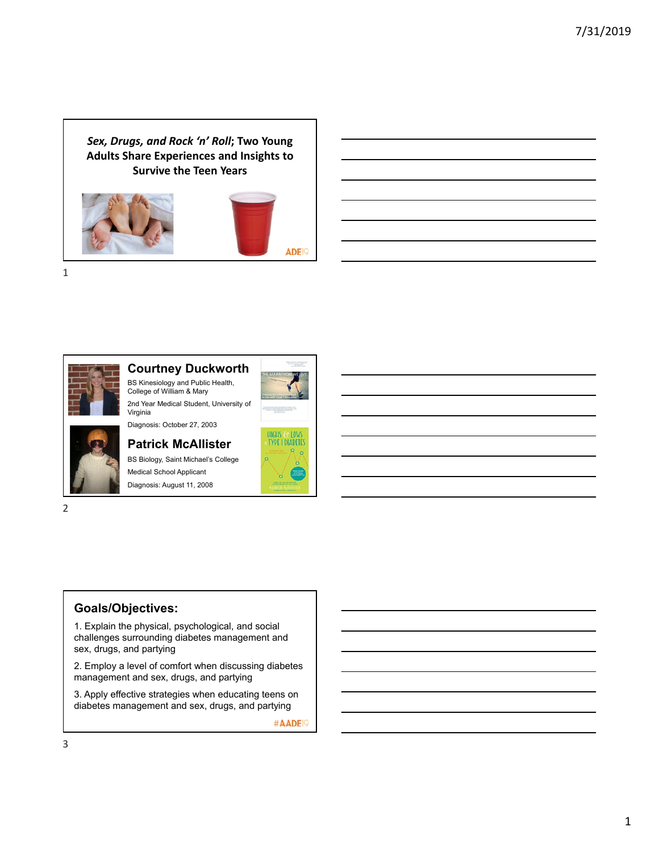*Sex, Drugs, and Rock 'n' Roll***; Two Young Adults Share Experiences and Insights to Survive the Teen Years**





1



#### **Courtney Duckworth**

BS Kinesiology and Public Health, College of William & Mary 2nd Year Medical Student, University of



# **Patrick McAllister** BS Biology, Saint Michael's College

Medical School Applicant Diagnosis: August 11, 2008

2

## **Goals/Objectives:**

1. Explain the physical, psychological, and social challenges surrounding diabetes management and sex, drugs, and partying

2. Employ a level of comfort when discussing diabetes management and sex, drugs, and partying

3. Apply effective strategies when educating teens on diabetes management and sex, drugs, and partying



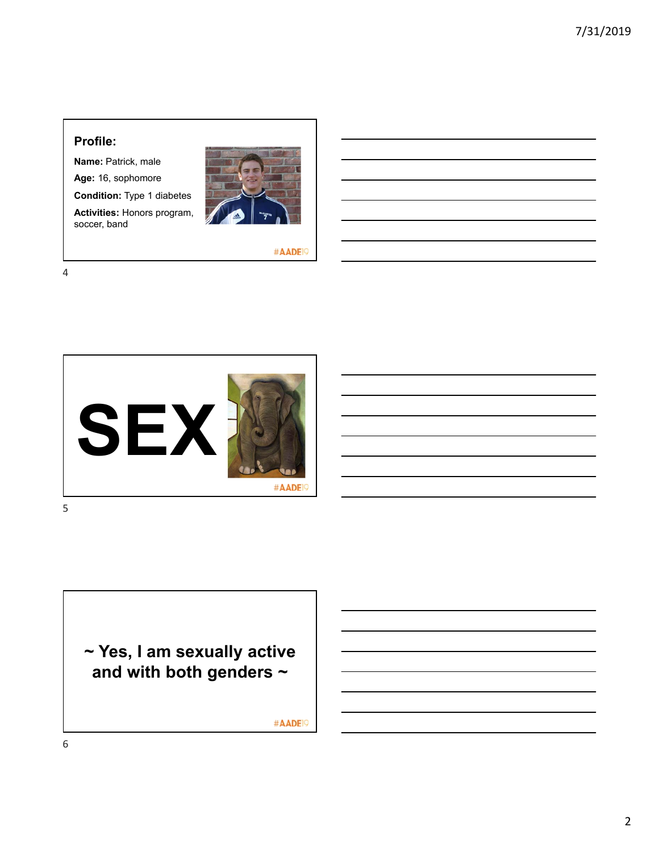#### **Profile:**

**Name:** Patrick, male

**Age:** 16, sophomore

**Condition:** Type 1 diabetes

**Activities:** Honors program, soccer, band



#AADE<sup>19</sup>

4



**~ Yes, I am sexually active and with both genders ~**

#AADE<sup>19</sup>

6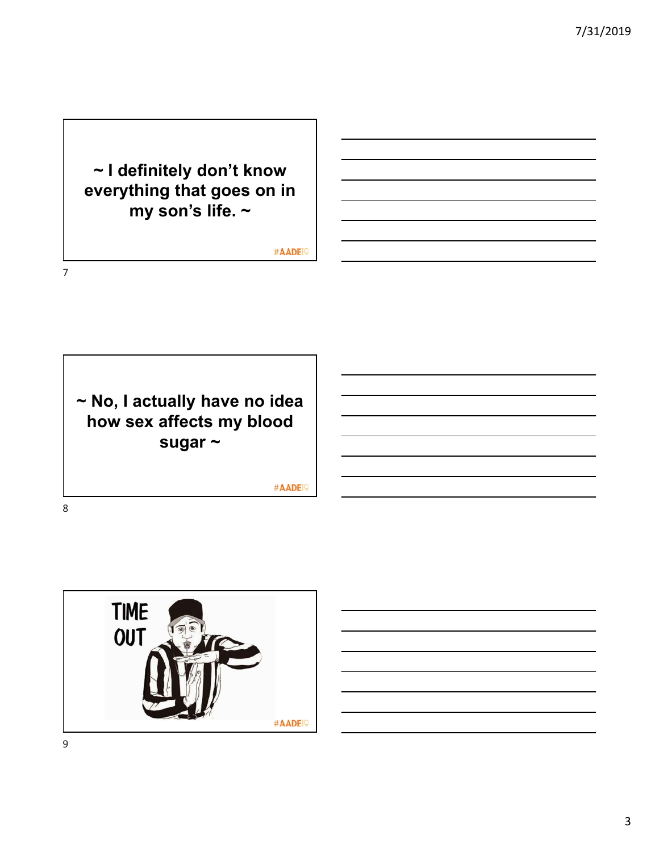# **~ I definitely don't know everything that goes on in my son's life. ~**

#AADE<sup>19</sup>

**~ No, I actually have no idea how sex affects my blood sugar ~**

#AADE<sup>19</sup>



7

8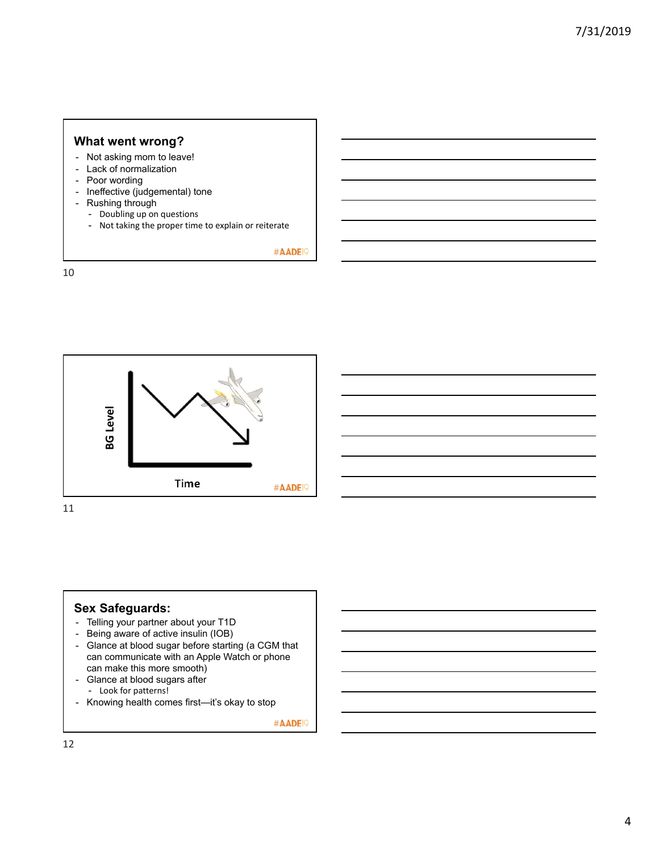#### **What went wrong?**

- Not asking mom to leave!
- Lack of normalization
- Poor wording
- Ineffective (judgemental) tone
- Rushing through
	- Doubling up on questions
	- Not taking the proper time to explain or reiterate

#AADE<sup>19</sup>

10



11

#### **Sex Safeguards:**

- Telling your partner about your T1D
- Being aware of active insulin (IOB)
- Glance at blood sugar before starting (a CGM that can communicate with an Apple Watch or phone can make this more smooth)
- Glance at blood sugars after - Look for patterns!
- Knowing health comes first—it's okay to stop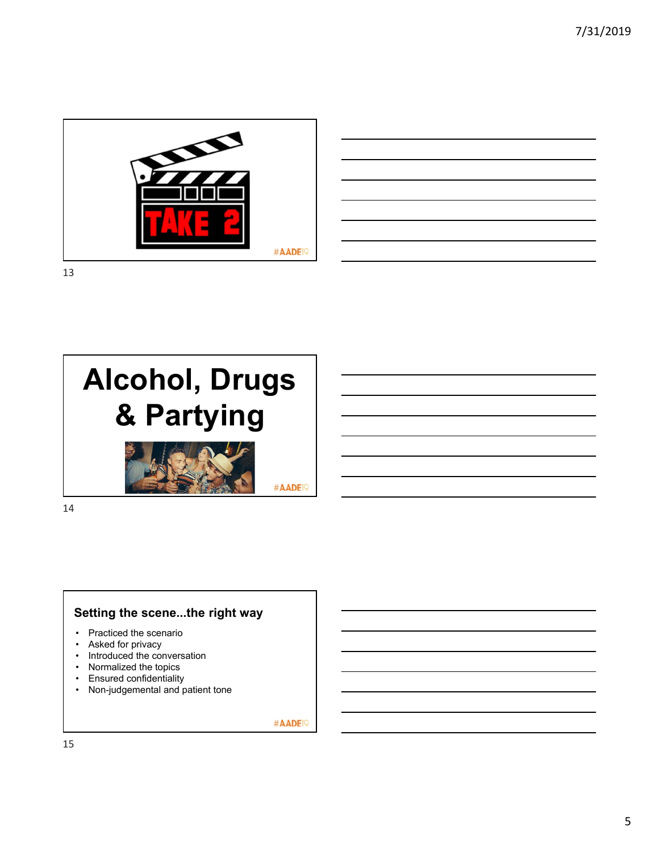

|                                                                                                                                                                      |                                     |  |  | the control of the control of the |
|----------------------------------------------------------------------------------------------------------------------------------------------------------------------|-------------------------------------|--|--|-----------------------------------|
| <u> 1989 - Andrea Santa Andrea Andrea Andrea Andrea Andrea Andrea Andrea Andrea Andrea Andrea Andrea Andrea Andr</u>                                                 |                                     |  |  |                                   |
| <u> 1980 - Johann John Stone, markin sanadi a shekara ta 1980 - An tsara tsara tsara tsara tsara tsara tsara tsa</u>                                                 |                                     |  |  |                                   |
|                                                                                                                                                                      |                                     |  |  |                                   |
|                                                                                                                                                                      |                                     |  |  |                                   |
| ,我们也不会有一个人的事情。""我们的人们,我们也不会有一个人的人,我们也不会有一个人的人,我们也不会有一个人的人,我们也不会有一个人的人,我们也不会有一个人的<br>第一百一十一章 我们的人,我们的人们的人们,我们的人们的人们的人们,我们的人们的人们的人们,我们的人们的人们,我们的人们的人们,我们的人们的人们,我们的人们的人 |                                     |  |  |                                   |
|                                                                                                                                                                      | the contract of the contract of the |  |  |                                   |
|                                                                                                                                                                      |                                     |  |  |                                   |

13



14

## **Setting the scene...the right way**

- Practiced the scenario
- Asked for privacy
- Introduced the conversation
- Normalized the topics
- Ensured confidentiality
- Non-judgemental and patient tone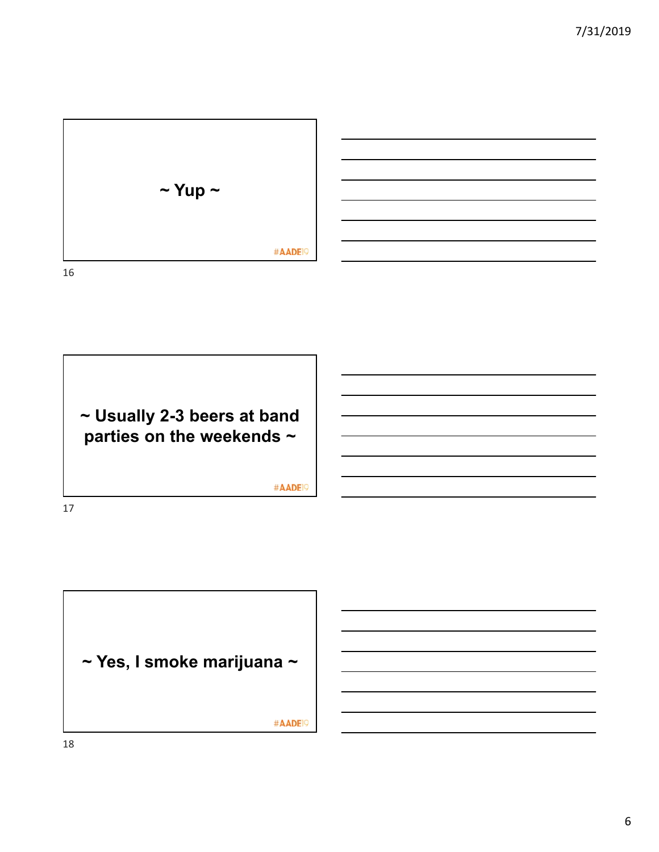

**~ Usually 2-3 beers at band parties on the weekends ~** #AADE<sup>19</sup> 17

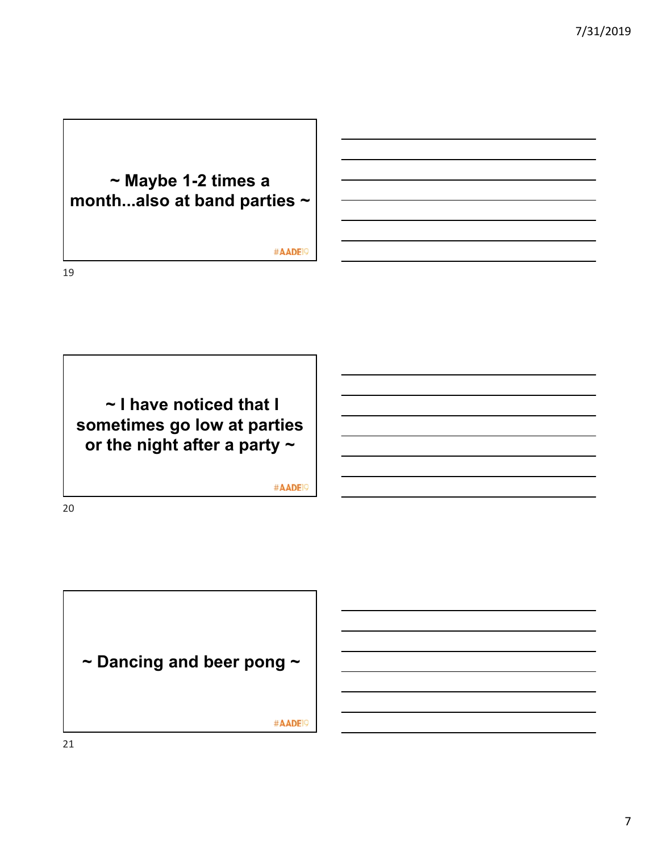

19

20



#AADE<sup>19</sup>

**~ Dancing and beer pong ~** #AADE<sup>19</sup>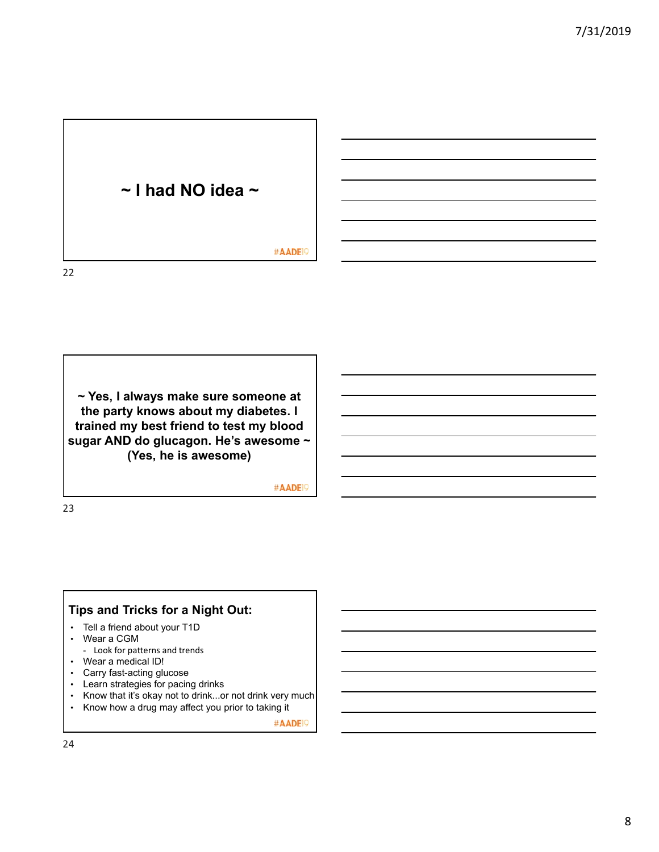# **~ I had NO idea ~** #AADE<sup>19</sup>

22

**~ Yes, I always make sure someone at the party knows about my diabetes. I trained my best friend to test my blood sugar AND do glucagon. He's awesome ~ (Yes, he is awesome)**

#AADE<sup>19</sup>

23

# **Tips and Tricks for a Night Out:**

- Tell a friend about your T1D
- Wear a CGM
- Look for patterns and trends
- Wear a medical ID!
- Carry fast-acting glucose
- Learn strategies for pacing drinks
- Know that it's okay not to drink...or not drink very much
- Know how a drug may affect you prior to taking it